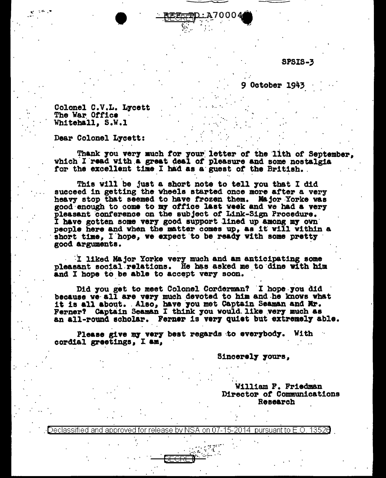**SPSIS-3** 

**9 October 1943** 

Colonel C.V.L. Lycett The War Office Whitehall, S.W.1

Dear Colonel Lycett:

Thank you very much for your letter of the lith of September. which I read with a great deal of pleasure and some nostalgia for the excellent time I had as a guest of the British.

This will be just a short note to tell you that I did succeed in getting the vheels started once more after a very heavy stop that seemed to have frozen them. Major Yorke was good enough to come to my office last week and we had a very pleasant conference on the subject of Link-Sign Procedure. I have gotten some very good support lined up among my own people here and when the matter comes up, as it will within a short time, I hope, we expect to be ready with some pretty good arguments.

I liked Major Yorke very much and am anticipating some pleasant social relations. He has asked me to dine with him and I hope to be able to accept very soon.

Did you get to meet Colonel Corderman? I hope you did because we all are very much devoted to him and he knows what it is all about. Also, have you met Captain Seaman and Mr. Ferner? Captain Seaman I think you would like very much as an all-round scholar. Ferner is very quiet but extremely able.

Please give my very best regards to everybody. With cordial greetings, I am,

Sincerely yours,

William F. Friedman Director of Communications Research

approved for release by NSA on 07-15-2014 pursuant to E.O. 13520 eclassified and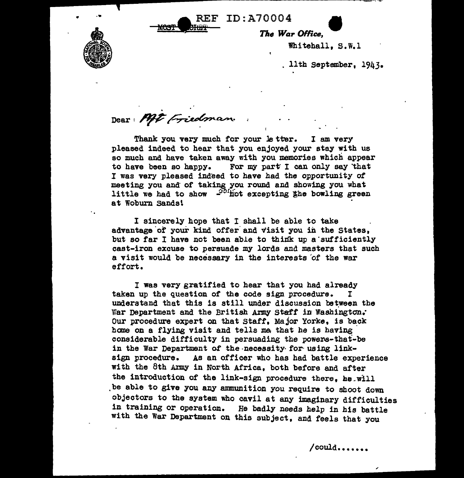REF ID:A70004



The War Office.

1<br>ar Office,<br>Whitehall, S.W.l

11th September, 1943•

Dear: Mit Friedman.

Thank you very much for your letter. I am very pleased indeed to hear that you enjoyed your stay with us so much and have taken away with you memories which appear to have been so happy. For my part I can only say that I was very pleased indeed to have had the opportunity of meeting you and· of taking you round and showing you what little we had to show  $-$ <sup>904</sup>hot excepting the bowling green at Woburn Sands\

I sincerely hope that I shall be able to take advantage of your kind offer and visit you in the States, but so far I have not been able to think up a sufficiently cast-iron excuse to persuade my lords and masters that such a visit would be necessary in the interests 'of the war effort.

I was very gratified to hear that you had already taken up the question of the code sign procedure. I understand that this is still under discussion between the War Department and the British Army Staff in Washington. Our procedure expert on that Staff, Major Yorke, is back home on a flying visit and tells me that he is having considerable difficulty in persuading the powers-that-be in the War Department of the necessity for using linksign procedure. As an officer who has had battle experience with the 8th Army in North Africa, both before and after the introduction of the link-sign procedure there, he.will ,be able to give you any amnunition you require to shoot down objectors to the system who cavil at any imaginary difficulties in training or operation. He badly needs help in his battle with the War Department on this subject, and feels that you

/could •••••••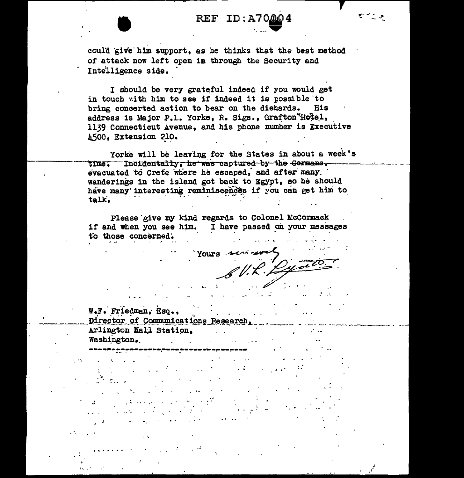## REF ID:A70004

could give him support, as he thinks that the best method of attack now left open in through the Security and Intelligence side.

I should be very grateful indeed if you would get in touch with him to see if indeed it is possible 'to bring concerted action to bear on the diehards. His address is Major P.L. Yorke, R. Sigs., Grafton Hotel, 1139 Connecticut Avenue, and his phone number is Executive A500. Extension 210.

Yorke will be leaving for the States in about a week's time. Incidentally, he was captured by the Germans, evacuated to Crete where he escaped, and after many wanderings in the island got back to Egypt, so he should have many interesting reminiscences if you can get him to talk.

Please give my kind regards to Colonel McCormack if and when you see him. I have passed on your messages to those concerned.

Yours services

W.F. Friedman, Esq., Director of Communications Research, Arlington Hall Station.  $\sim$   $\sim$ Washington.

 $\sim 10^6$ 

 $\mathbb{R}^{\mathbb{Z}}$ 

 $\epsilon$  -  $\epsilon$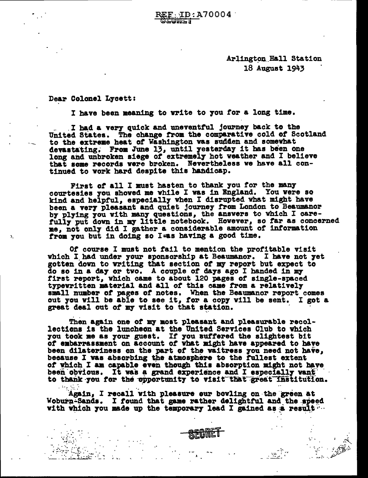$ID: A70004$ لأكتالات

> Arlington Hall Station 18 August 1943 .

Dear Colonel L7cett:

-. - . . *•:* .... ..

----

I have been meaning to write to you for a long time.

I had a very quick and uneventful journey back to the United States. The change trom the comparative cold ot Scotland to the extreme heat of Washington was sudden and somewhat to the extreme heat of washington was sudden and somewhat<br>devastating. From June 13, until yesterday it has been one long and unbroken siege of extremely hot weather and I believe that some records were broken. Nevertheless we have all continued to work hard despite this handicap.

First of all I must hasten to thank you for the many courtesies 7ou shoved me while I was 1n England. You were so kind and helpful, especially when I disrupted what might have been a very pleasant and quiet journey from London to Beaumanor by plying you with many questions, the answers to which I carefully put down in my little notebook. However, so far as concerned me, not only did I gather a considerable amount of information from you but in doing so Iwas having a good time.

*Ot* course I must not tail to mention the protitable visit which I had under your sponsorship at Beaumanor. I have not yet gotten down to writing that section of my report but expect to do so in a day or two. A couple of days ago I handed in my<br>first report, which came to about 120 pages of single-spaced<br>typewritten material and all of this came from a relatively small number of pages of notes. When the Beaumanor report comes smail number of pages of hotes. When the beaumanor report comes<br>out you will be able to see it, for a copy will be sent. I got a

great deal out of my visit to that station. <br>Then again one of my most pleasant and pleasurable recollections is the luncheon at the United Services Club to which you took me as your guest. If you suffered the slightest bit of embarrassment on account of what might have appeared to have been dilatoriness on the part of the waitress you need not have, because I was absorbing the atmosphere to the fullest extent of which I am capable even though this absorption might not have been obvious. It was a grand experience and I especially vant to thank you for the opportunity to visit that great institution.

Again, I recall with pleasure our bowling on the green at Woburn-Sands. I found that game rather delightful and the speed with which you made up the temporary lead I gained as a result  $\cdots$ 

~~;: *....* ~ ·. . ... .... .. . ..~ ....

\_\_ :~~:'.:·d~--~~1.-~·~;;.\_-:- <sup>~</sup>. ·- ':.~ *:* .... -~. \~~- :\_ ;;t:J,~~ ·- .:~.:::: .. *'*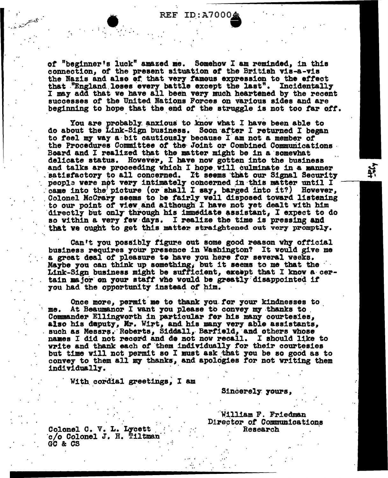ID:A70004 REF.

of "beginner's luck" amazed me. Somehow I am reminded, in this connection, of the present situation of the British vis-a-vis the Nazis and also of that very famous expression to the effect that "England loses every battle except the last". Incidentally I may add that we have all been very much heartened by the recent successes of the United Nations Forces on various sides and are beginning to hope that the end of the struggle is not too far off.

You are probably anxious to know what I have been able to do about the Link-Sign business. Soon after I returned I began to feel my way a bit cautiously because I am not a member of the Procedures Committee of the Joint or Combined Communications Board and I realized that the matter might be in a somewhat delicate status. However, I have now gotten into the business and talks are proceeding which I hope will culminate in a manner satisfactory to all concerned. It seems that our Signal Security people were not very intimately concerned in this matter until I came into the picture (or shall I say, barged into it?) However, Colonel McCrary seems to be fairly well disposed toward listening to our point of view and although I have not yet dealt with him directly but only through his immediate assistant, I expect to do so within a very few days. I realize the time is pressing and that we ought to get this matter straightened out very promptly.

Can't you possibly figure out some good reason why official business requires your presence in Washington? It would give me a great deal of pleasure to have you here for several weeks. Maybe you can think up something, but it seems to me that the Link-Sign business might be sufficient, except that I know a certain major on your staff who would be greatly disappointed if you had the opportunity instead of him.

Once more, permit me to thank you for your kindnesses to At Beaumanor I want you please to convey my thanks to me. Commander Ellingworth in particular for his many courtesies, also his daputy, Mr. Wirt, and his many very able assistants, such as Messrs. Roberts, Siddall, Barfield, and others whose names I did not record and de not now recall. I should like to write and thank each of them individually for their courtesies but time will not permit so I must ask that you be so good as to convey to them all my thanks, and apologies for not writing them individually.

With cordial greetings, I am

Sincerely yours,

William F. Friedman Director of Communications Research

Colonel C. V. L. Lycett c/o Colonel J. H. Tiltman GC & CS